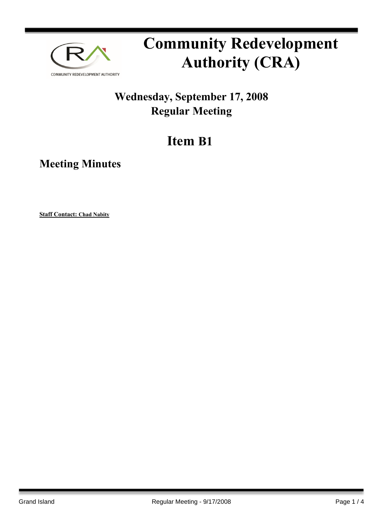

# **Community Redevelopment Authority (CRA)**

### **Wednesday, September 17, 2008 Regular Meeting**

## **Item B1**

**Meeting Minutes**

**Staff Contact: Chad Nabity**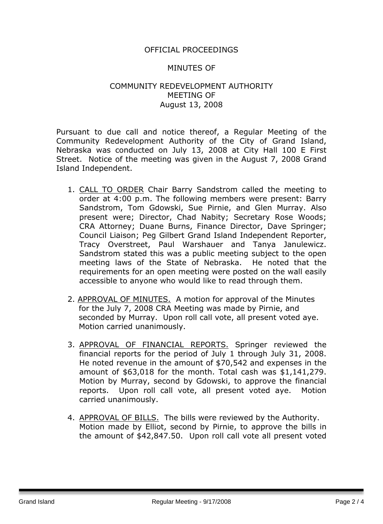#### OFFICIAL PROCEEDINGS

#### MINUTES OF

#### COMMUNITY REDEVELOPMENT AUTHORITY MEETING OF August 13, 2008

Pursuant to due call and notice thereof, a Regular Meeting of the Community Redevelopment Authority of the City of Grand Island, Nebraska was conducted on July 13, 2008 at City Hall 100 E First Street. Notice of the meeting was given in the August 7, 2008 Grand Island Independent.

- 1. CALL TO ORDER Chair Barry Sandstrom called the meeting to order at 4:00 p.m. The following members were present: Barry Sandstrom, Tom Gdowski, Sue Pirnie, and Glen Murray. Also present were; Director, Chad Nabity; Secretary Rose Woods; CRA Attorney; Duane Burns, Finance Director, Dave Springer; Council Liaison; Peg Gilbert Grand Island Independent Reporter, Tracy Overstreet, Paul Warshauer and Tanya Janulewicz. Sandstrom stated this was a public meeting subject to the open meeting laws of the State of Nebraska. He noted that the requirements for an open meeting were posted on the wall easily accessible to anyone who would like to read through them.
- 2. APPROVAL OF MINUTES. A motion for approval of the Minutes for the July 7, 2008 CRA Meeting was made by Pirnie, and seconded by Murray. Upon roll call vote, all present voted aye. Motion carried unanimously.
- 3. APPROVAL OF FINANCIAL REPORTS. Springer reviewed the financial reports for the period of July 1 through July 31, 2008. He noted revenue in the amount of \$70,542 and expenses in the amount of \$63,018 for the month. Total cash was \$1,141,279. Motion by Murray, second by Gdowski, to approve the financial reports. Upon roll call vote, all present voted aye. Motion carried unanimously.
- 4. APPROVAL OF BILLS. The bills were reviewed by the Authority. Motion made by Elliot, second by Pirnie, to approve the bills in the amount of \$42,847.50. Upon roll call vote all present voted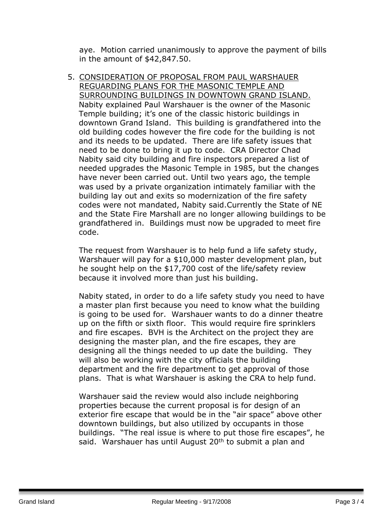aye. Motion carried unanimously to approve the payment of bills in the amount of \$42,847.50.

5. CONSIDERATION OF PROPOSAL FROM PAUL WARSHAUER REGUARDING PLANS FOR THE MASONIC TEMPLE AND SURROUNDING BUILDINGS IN DOWNTOWN GRAND ISLAND. Nabity explained Paul Warshauer is the owner of the Masonic Temple building; it's one of the classic historic buildings in downtown Grand Island. This building is grandfathered into the old building codes however the fire code for the building is not and its needs to be updated. There are life safety issues that need to be done to bring it up to code. CRA Director Chad Nabity said city building and fire inspectors prepared a list of needed upgrades the Masonic Temple in 1985, but the changes have never been carried out. Until two years ago, the temple was used by a private organization intimately familiar with the building lay out and exits so modernization of the fire safety codes were not mandated, Nabity said.Currently the State of NE and the State Fire Marshall are no longer allowing buildings to be grandfathered in. Buildings must now be upgraded to meet fire code.

The request from Warshauer is to help fund a life safety study, Warshauer will pay for a \$10,000 master development plan, but he sought help on the \$17,700 cost of the life/safety review because it involved more than just his building.

Nabity stated, in order to do a life safety study you need to have a master plan first because you need to know what the building is going to be used for. Warshauer wants to do a dinner theatre up on the fifth or sixth floor. This would require fire sprinklers and fire escapes. BVH is the Architect on the project they are designing the master plan, and the fire escapes, they are designing all the things needed to up date the building. They will also be working with the city officials the building department and the fire department to get approval of those plans. That is what Warshauer is asking the CRA to help fund.

Warshauer said the review would also include neighboring properties because the current proposal is for design of an exterior fire escape that would be in the "air space" above other downtown buildings, but also utilized by occupants in those buildings. "The real issue is where to put those fire escapes", he said. Warshauer has until August 20<sup>th</sup> to submit a plan and